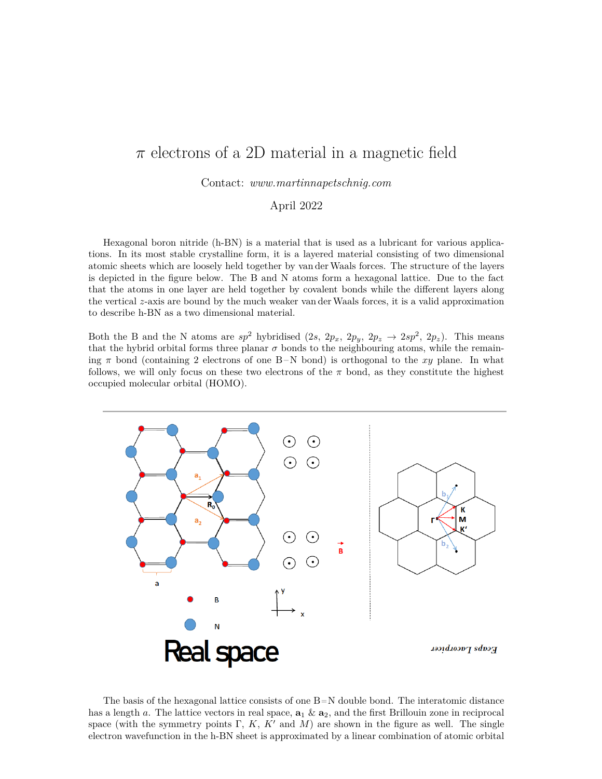## *π* electrons of a 2D material in a magnetic field

Contact: *www.martinnapetschnig.com*

April 2022

Hexagonal boron nitride (h-BN) is a material that is used as a lubricant for various applications. In its most stable crystalline form, it is a layered material consisting of two dimensional atomic sheets which are loosely held together by van derWaals forces. The structure of the layers is depicted in the figure below. The B and N atoms form a hexagonal lattice. Due to the fact that the atoms in one layer are held together by covalent bonds while the different layers along the vertical *z*-axis are bound by the much weaker van derWaals forces, it is a valid approximation to describe h-BN as a two dimensional material.

Both the B and the N atoms are  $sp^2$  hybridised  $(2s, 2p_x, 2p_y, 2p_z \rightarrow 2sp^2, 2p_z)$ . This means that the hybrid orbital forms three planar  $\sigma$  bonds to the neighbouring atoms, while the remaining  $\pi$  bond (containing 2 electrons of one B-N bond) is orthogonal to the *xy* plane. In what follows, we will only focus on these two electrons of the  $\pi$  bond, as they constitute the highest occupied molecular orbital (HOMO).



The basis of the hexagonal lattice consists of one  $B=N$  double bond. The interatomic distance has a length *a*. The lattice vectors in real space,  $\mathbf{a}_1 \& \mathbf{a}_2$ , and the first Brillouin zone in reciprocal space (with the symmetry points  $\Gamma$ ,  $K$ ,  $K'$  and  $M$ ) are shown in the figure as well. The single electron wavefunction in the h-BN sheet is approximated by a linear combination of atomic orbital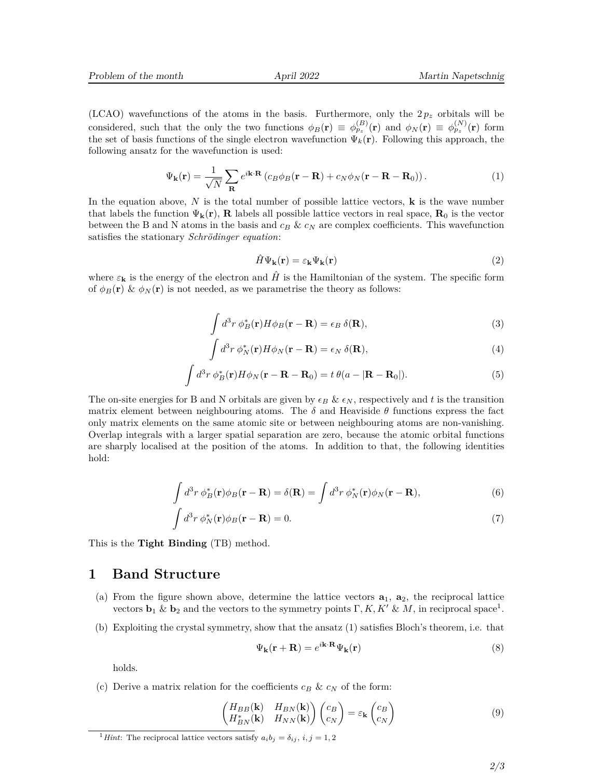(LCAO) wavefunctions of the atoms in the basis. Furthermore, only the  $2p<sub>z</sub>$  orbitals will be considered, such that the only the two functions  $\phi_B(\mathbf{r}) \equiv \phi_{p_z}^{(B)}(\mathbf{r})$  and  $\phi_N(\mathbf{r}) \equiv \phi_{p_z}^{(N)}(\mathbf{r})$  form the set of basis functions of the single electron wavefunction  $\Psi_k(\mathbf{r})$ . Following this approach, the following ansatz for the wavefunction is used:

$$
\Psi_{\mathbf{k}}(\mathbf{r}) = \frac{1}{\sqrt{N}} \sum_{\mathbf{R}} e^{i\mathbf{k} \cdot \mathbf{R}} \left( c_B \phi_B(\mathbf{r} - \mathbf{R}) + c_N \phi_N(\mathbf{r} - \mathbf{R} - \mathbf{R}_0) \right). \tag{1}
$$

In the equation above, *N* is the total number of possible lattice vectors, **k** is the wave number that labels the function  $\Psi_{\mathbf{k}}(\mathbf{r}), \mathbf{R}$  labels all possible lattice vectors in real space,  $\mathbf{R}_0$  is the vector between the B and N atoms in the basis and  $c_B \& c_N$  are complex coefficients. This wavefunction satisfies the stationary *Schrödinger equation*:

$$
\hat{H}\Psi_{\mathbf{k}}(\mathbf{r}) = \varepsilon_{\mathbf{k}}\Psi_{\mathbf{k}}(\mathbf{r})\tag{2}
$$

where  $\varepsilon_{\bf k}$  is the energy of the electron and  $\hat{H}$  is the Hamiltonian of the system. The specific form of  $\phi_B(\mathbf{r}) \& \phi_N(\mathbf{r})$  is not needed, as we parametrise the theory as follows:

$$
\int d^3r \, \phi_B^*(\mathbf{r}) H \phi_B(\mathbf{r} - \mathbf{R}) = \epsilon_B \, \delta(\mathbf{R}),\tag{3}
$$

$$
\int d^3r \, \phi_N^*(\mathbf{r}) H \phi_N(\mathbf{r} - \mathbf{R}) = \epsilon_N \, \delta(\mathbf{R}), \tag{4}
$$

$$
\int d^3r \, \phi_B^*(\mathbf{r}) H \phi_N(\mathbf{r} - \mathbf{R} - \mathbf{R}_0) = t \, \theta(a - |\mathbf{R} - \mathbf{R}_0|). \tag{5}
$$

The on-site energies for B and N orbitals are given by  $\epsilon_B \& \epsilon_N$ , respectively and t is the transition matrix element between neighbouring atoms. The  $\delta$  and Heaviside  $\theta$  functions express the fact only matrix elements on the same atomic site or between neighbouring atoms are non-vanishing. Overlap integrals with a larger spatial separation are zero, because the atomic orbital functions are sharply localised at the position of the atoms. In addition to that, the following identities hold:

$$
\int d^3r \, \phi_B^*(\mathbf{r}) \phi_B(\mathbf{r} - \mathbf{R}) = \delta(\mathbf{R}) = \int d^3r \, \phi_N^*(\mathbf{r}) \phi_N(\mathbf{r} - \mathbf{R}),\tag{6}
$$

$$
\int d^3r \, \phi_N^*(\mathbf{r}) \phi_B(\mathbf{r} - \mathbf{R}) = 0. \tag{7}
$$

This is the **Tight Binding** (TB) method.

## **1 Band Structure**

- (a) From the figure shown above, determine the lattice vectors  $\mathbf{a}_1$ ,  $\mathbf{a}_2$ , the reciprocal lattice vectors  $\mathbf{b}_1 \& \mathbf{b}_2$  and the vectors to the symmetry points  $\Gamma, K, K' \& M$ , in reciprocal space<sup>1</sup>.
- (b) Exploiting the crystal symmetry, show that the ansatz (1) satisfies Bloch's theorem, i.e. that

$$
\Psi_{\mathbf{k}}(\mathbf{r} + \mathbf{R}) = e^{i\mathbf{k} \cdot \mathbf{R}} \Psi_{\mathbf{k}}(\mathbf{r}) \tag{8}
$$

holds.

(c) Derive a matrix relation for the coefficients  $c_B \& c_N$  of the form:

$$
\begin{pmatrix} H_{BB}(\mathbf{k}) & H_{BN}(\mathbf{k}) \\ H_{BN}^*(\mathbf{k}) & H_{NN}(\mathbf{k}) \end{pmatrix} \begin{pmatrix} c_B \\ c_N \end{pmatrix} = \varepsilon_{\mathbf{k}} \begin{pmatrix} c_B \\ c_N \end{pmatrix}
$$
\n(9)

<sup>&</sup>lt;sup>1</sup>*Hint*: The reciprocal lattice vectors satisfy  $a_i b_j = \delta_{ij}, i, j = 1, 2$